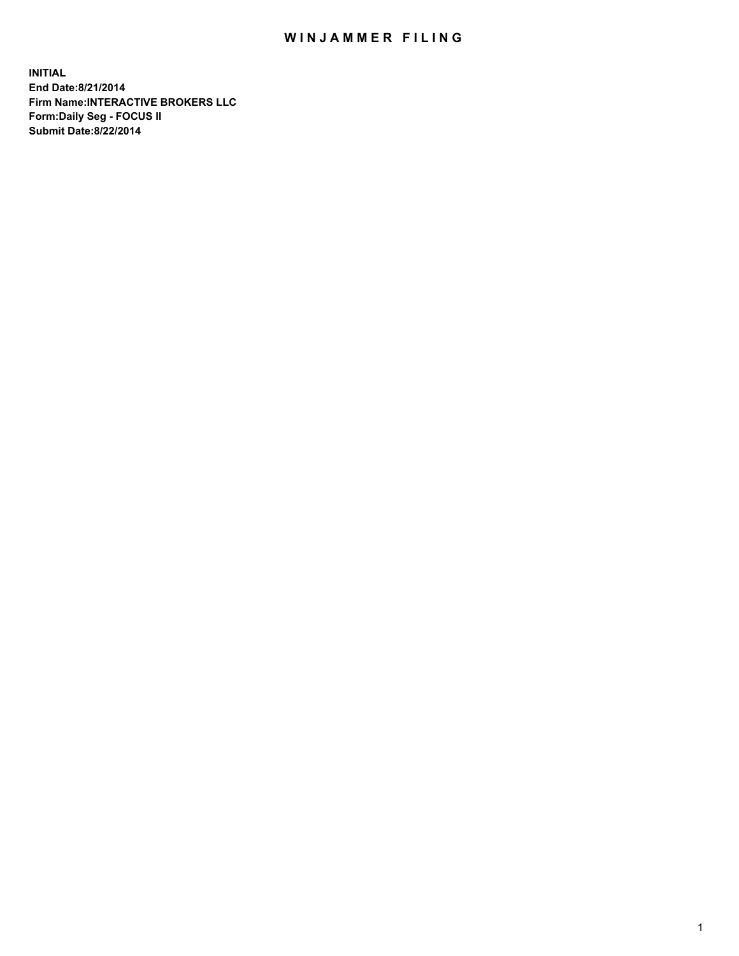# WIN JAMMER FILING

**INITIAL End Date:8/21/2014 Firm Name:INTERACTIVE BROKERS LLC Form:Daily Seg - FOCUS II Submit Date:8/22/2014**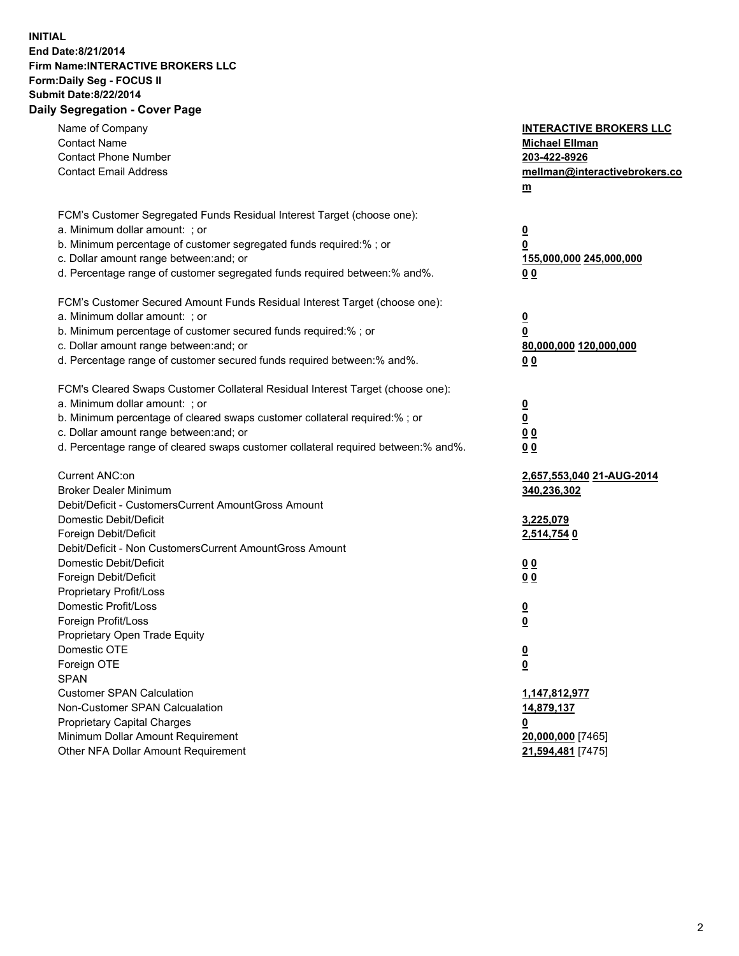# **INITIAL End Date:8/21/2014 Firm Name:INTERACTIVE BROKERS LLC Form:Daily Seg - FOCUS II Submit Date:8/22/2014 Daily Segregation - Cover Page**

| Name of Company<br><b>Contact Name</b><br><b>Contact Phone Number</b><br><b>Contact Email Address</b> | <b>INTERACTIVE BROKERS LLC</b><br><b>Michael Ellman</b><br>203-422-8926<br>mellman@interactivebrokers.co<br>$m$ |
|-------------------------------------------------------------------------------------------------------|-----------------------------------------------------------------------------------------------------------------|
| FCM's Customer Segregated Funds Residual Interest Target (choose one):                                |                                                                                                                 |
| a. Minimum dollar amount: ; or                                                                        | $\overline{\mathbf{0}}$                                                                                         |
| b. Minimum percentage of customer segregated funds required:% ; or                                    | 0                                                                                                               |
| c. Dollar amount range between: and; or                                                               | 155,000,000 245,000,000                                                                                         |
| d. Percentage range of customer segregated funds required between:% and%.                             | 0 <sub>0</sub>                                                                                                  |
| FCM's Customer Secured Amount Funds Residual Interest Target (choose one):                            |                                                                                                                 |
| a. Minimum dollar amount: ; or                                                                        | $\overline{\mathbf{0}}$                                                                                         |
| b. Minimum percentage of customer secured funds required:% ; or                                       | 0                                                                                                               |
| c. Dollar amount range between: and; or                                                               | 80,000,000 120,000,000                                                                                          |
| d. Percentage range of customer secured funds required between:% and%.                                | 0 <sub>0</sub>                                                                                                  |
|                                                                                                       |                                                                                                                 |
| FCM's Cleared Swaps Customer Collateral Residual Interest Target (choose one):                        |                                                                                                                 |
| a. Minimum dollar amount: ; or                                                                        | $\overline{\mathbf{0}}$                                                                                         |
| b. Minimum percentage of cleared swaps customer collateral required:% ; or                            | $\overline{\mathbf{0}}$                                                                                         |
| c. Dollar amount range between: and; or                                                               | 0 <sub>0</sub>                                                                                                  |
| d. Percentage range of cleared swaps customer collateral required between:% and%.                     | 0 <sub>0</sub>                                                                                                  |
| Current ANC:on                                                                                        |                                                                                                                 |
| <b>Broker Dealer Minimum</b>                                                                          | 2,657,553,040 21-AUG-2014                                                                                       |
| Debit/Deficit - CustomersCurrent AmountGross Amount                                                   | 340,236,302                                                                                                     |
| Domestic Debit/Deficit                                                                                | 3,225,079                                                                                                       |
| Foreign Debit/Deficit                                                                                 | 2,514,754 0                                                                                                     |
| Debit/Deficit - Non CustomersCurrent AmountGross Amount                                               |                                                                                                                 |
| Domestic Debit/Deficit                                                                                | 0 <sub>0</sub>                                                                                                  |
| Foreign Debit/Deficit                                                                                 | 0 <sub>0</sub>                                                                                                  |
| Proprietary Profit/Loss                                                                               |                                                                                                                 |
| Domestic Profit/Loss                                                                                  | $\overline{\mathbf{0}}$                                                                                         |
| Foreign Profit/Loss                                                                                   | $\underline{\mathbf{0}}$                                                                                        |
| Proprietary Open Trade Equity                                                                         |                                                                                                                 |
| Domestic OTE                                                                                          | <u>0</u>                                                                                                        |
| Foreign OTE                                                                                           | <u>0</u>                                                                                                        |
| <b>SPAN</b>                                                                                           |                                                                                                                 |
| <b>Customer SPAN Calculation</b>                                                                      | 1,147,812,977                                                                                                   |
| Non-Customer SPAN Calcualation                                                                        | 14,879,137                                                                                                      |
| Proprietary Capital Charges                                                                           | <u>0</u>                                                                                                        |
| Minimum Dollar Amount Requirement                                                                     | 20,000,000 [7465]                                                                                               |
| Other NFA Dollar Amount Requirement                                                                   | 21,594,481 [7475]                                                                                               |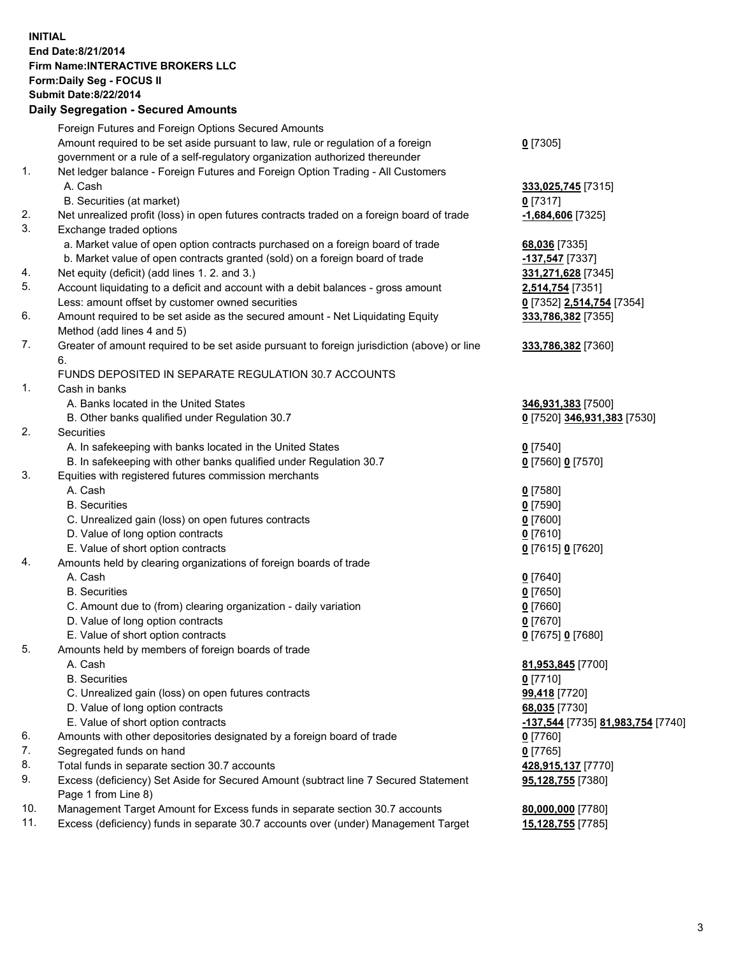### **INITIAL End Date:8/21/2014 Firm Name:INTERACTIVE BROKERS LLC Form:Daily Seg - FOCUS II Submit Date:8/22/2014 Daily Segregation - Secured Amounts**

|                | Daily Ocglegation - Occuled Amounts                                                         |                                   |
|----------------|---------------------------------------------------------------------------------------------|-----------------------------------|
|                | Foreign Futures and Foreign Options Secured Amounts                                         |                                   |
|                | Amount required to be set aside pursuant to law, rule or regulation of a foreign            | $0$ [7305]                        |
|                | government or a rule of a self-regulatory organization authorized thereunder                |                                   |
| 1.             | Net ledger balance - Foreign Futures and Foreign Option Trading - All Customers             |                                   |
|                | A. Cash                                                                                     | 333,025,745 [7315]                |
|                | B. Securities (at market)                                                                   | $0$ [7317]                        |
| 2.             | Net unrealized profit (loss) in open futures contracts traded on a foreign board of trade   | $-1,684,606$ [7325]               |
| 3.             | Exchange traded options                                                                     |                                   |
|                | a. Market value of open option contracts purchased on a foreign board of trade              | 68,036 [7335]                     |
|                | b. Market value of open contracts granted (sold) on a foreign board of trade                | $-137,547$ [7337]                 |
| 4.             | Net equity (deficit) (add lines 1.2. and 3.)                                                | 331,271,628 [7345]                |
| 5.             | Account liquidating to a deficit and account with a debit balances - gross amount           | 2,514,754 [7351]                  |
|                | Less: amount offset by customer owned securities                                            | 0 [7352] 2,514,754 [7354]         |
| 6.             | Amount required to be set aside as the secured amount - Net Liquidating Equity              | 333,786,382 [7355]                |
|                | Method (add lines 4 and 5)                                                                  |                                   |
| 7.             | Greater of amount required to be set aside pursuant to foreign jurisdiction (above) or line | 333,786,382 [7360]                |
|                | 6.                                                                                          |                                   |
|                | FUNDS DEPOSITED IN SEPARATE REGULATION 30.7 ACCOUNTS                                        |                                   |
| $\mathbf{1}$ . | Cash in banks                                                                               |                                   |
|                | A. Banks located in the United States                                                       | 346,931,383 [7500]                |
|                | B. Other banks qualified under Regulation 30.7                                              | 0 [7520] 346,931,383 [7530]       |
| 2.             | Securities                                                                                  |                                   |
|                | A. In safekeeping with banks located in the United States                                   | $0$ [7540]                        |
|                | B. In safekeeping with other banks qualified under Regulation 30.7                          | 0 [7560] 0 [7570]                 |
| 3.             | Equities with registered futures commission merchants                                       |                                   |
|                | A. Cash                                                                                     | $0$ [7580]                        |
|                | <b>B.</b> Securities                                                                        | $0$ [7590]                        |
|                | C. Unrealized gain (loss) on open futures contracts                                         | $0$ [7600]                        |
|                | D. Value of long option contracts                                                           | $0$ [7610]                        |
|                | E. Value of short option contracts                                                          | 0 [7615] 0 [7620]                 |
| 4.             | Amounts held by clearing organizations of foreign boards of trade                           |                                   |
|                | A. Cash                                                                                     | $0$ [7640]                        |
|                | <b>B.</b> Securities                                                                        | $0$ [7650]                        |
|                | C. Amount due to (from) clearing organization - daily variation                             | $0$ [7660]                        |
|                | D. Value of long option contracts                                                           | $0$ [7670]                        |
|                | E. Value of short option contracts                                                          | 0 [7675] 0 [7680]                 |
| 5.             | Amounts held by members of foreign boards of trade                                          |                                   |
|                | A. Cash                                                                                     | 81,953,845 [7700]                 |
|                | <b>B.</b> Securities                                                                        | $0$ [7710]                        |
|                | C. Unrealized gain (loss) on open futures contracts                                         | 99,418 [7720]                     |
|                | D. Value of long option contracts                                                           | 68,035 [7730]                     |
|                | E. Value of short option contracts                                                          | -137,544 [7735] 81,983,754 [7740] |
| 6.             | Amounts with other depositories designated by a foreign board of trade                      | 0 [7760]                          |
| 7.             | Segregated funds on hand                                                                    | $0$ [7765]                        |
| 8.             | Total funds in separate section 30.7 accounts                                               | 428,915,137 [7770]                |
| 9.             | Excess (deficiency) Set Aside for Secured Amount (subtract line 7 Secured Statement         | 95,128,755 [7380]                 |
|                | Page 1 from Line 8)                                                                         |                                   |
| 10.            | Management Target Amount for Excess funds in separate section 30.7 accounts                 | 80,000,000 [7780]                 |
| 11.            | Excess (deficiency) funds in separate 30.7 accounts over (under) Management Target          | 15,128,755 [7785]                 |
|                |                                                                                             |                                   |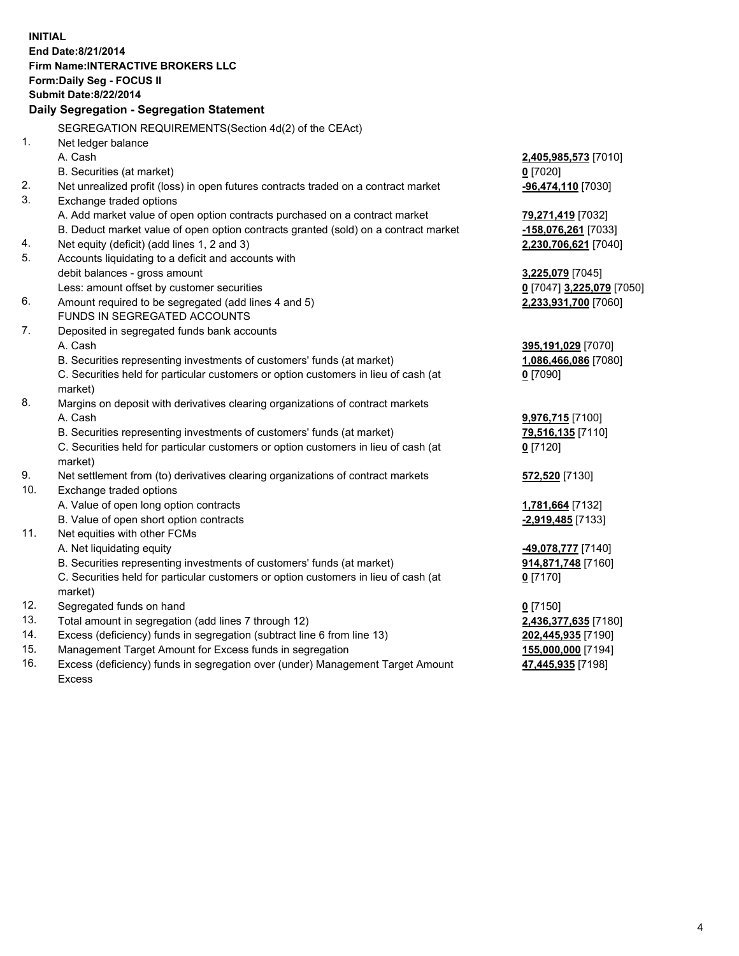**INITIAL End Date:8/21/2014 Firm Name:INTERACTIVE BROKERS LLC Form:Daily Seg - FOCUS II Submit Date:8/22/2014 Daily Segregation - Segregation Statement** SEGREGATION REQUIREMENTS(Section 4d(2) of the CEAct) 1. Net ledger balance A. Cash **2,405,985,573** [7010] B. Securities (at market) **0** [7020] 2. Net unrealized profit (loss) in open futures contracts traded on a contract market **-96,474,110** [7030] 3. Exchange traded options A. Add market value of open option contracts purchased on a contract market **79,271,419** [7032] B. Deduct market value of open option contracts granted (sold) on a contract market **-158,076,261** [7033] 4. Net equity (deficit) (add lines 1, 2 and 3) **2,230,706,621** [7040] 5. Accounts liquidating to a deficit and accounts with debit balances - gross amount **3,225,079** [7045] Less: amount offset by customer securities **0** [7047] **3,225,079** [7050] 6. Amount required to be segregated (add lines 4 and 5) **2,233,931,700** [7060] FUNDS IN SEGREGATED ACCOUNTS 7. Deposited in segregated funds bank accounts A. Cash **395,191,029** [7070] B. Securities representing investments of customers' funds (at market) **1,086,466,086** [7080] C. Securities held for particular customers or option customers in lieu of cash (at market) **0** [7090] 8. Margins on deposit with derivatives clearing organizations of contract markets A. Cash **9,976,715** [7100] B. Securities representing investments of customers' funds (at market) **79,516,135** [7110] C. Securities held for particular customers or option customers in lieu of cash (at market) **0** [7120] 9. Net settlement from (to) derivatives clearing organizations of contract markets **572,520** [7130] 10. Exchange traded options A. Value of open long option contracts **1,781,664** [7132] B. Value of open short option contracts **-2,919,485** [7133] 11. Net equities with other FCMs A. Net liquidating equity **-49,078,777** [7140] B. Securities representing investments of customers' funds (at market) **914,871,748** [7160] C. Securities held for particular customers or option customers in lieu of cash (at market) **0** [7170] 12. Segregated funds on hand **0** [7150] 13. Total amount in segregation (add lines 7 through 12) **2,436,377,635** [7180] 14. Excess (deficiency) funds in segregation (subtract line 6 from line 13) **202,445,935** [7190] 15. Management Target Amount for Excess funds in segregation **155,000,000** [7194]

16. Excess (deficiency) funds in segregation over (under) Management Target Amount Excess

**47,445,935** [7198]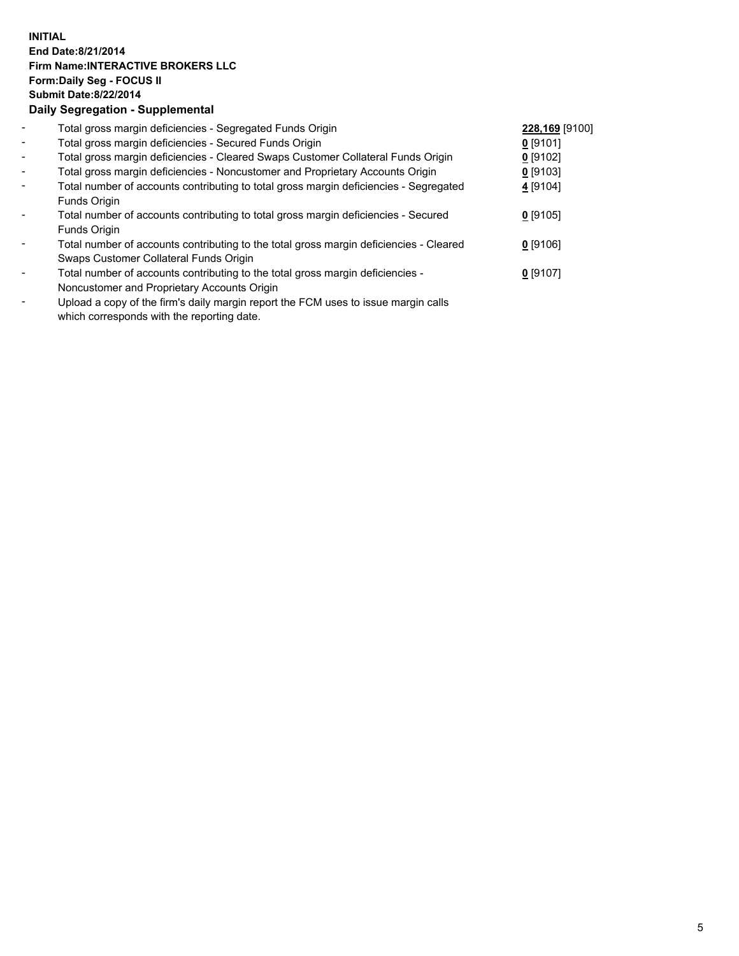## **INITIAL End Date:8/21/2014 Firm Name:INTERACTIVE BROKERS LLC Form:Daily Seg - FOCUS II Submit Date:8/22/2014 Daily Segregation - Supplemental**

| $\blacksquare$           | Total gross margin deficiencies - Segregated Funds Origin                                      | 228,169 [9100] |  |
|--------------------------|------------------------------------------------------------------------------------------------|----------------|--|
| $\overline{\phantom{a}}$ | Total gross margin deficiencies - Secured Funds Origin                                         | $0$ [9101]     |  |
| $\blacksquare$           | Total gross margin deficiencies - Cleared Swaps Customer Collateral Funds Origin               | $0$ [9102]     |  |
| $\blacksquare$           | Total gross margin deficiencies - Noncustomer and Proprietary Accounts Origin                  | $0$ [9103]     |  |
| $\blacksquare$           | Total number of accounts contributing to total gross margin deficiencies - Segregated          | 4 [9104]       |  |
|                          | Funds Origin                                                                                   |                |  |
| $\blacksquare$           | Total number of accounts contributing to total gross margin deficiencies - Secured             | $0$ [9105]     |  |
|                          | Funds Origin                                                                                   |                |  |
| $\blacksquare$           | Total number of accounts contributing to the total gross margin deficiencies - Cleared         | $0$ [9106]     |  |
|                          | Swaps Customer Collateral Funds Origin                                                         |                |  |
| $\overline{\phantom{a}}$ | Total number of accounts contributing to the total gross margin deficiencies -                 | $0$ [9107]     |  |
|                          | Noncustomer and Proprietary Accounts Origin                                                    |                |  |
|                          | Unlead a copy of the firmle delly margin report the $\mathsf{ICM}$ uses to issue margin selle. |                |  |

Upload a copy of the firm's daily margin report the FCM uses to issue margin calls which corresponds with the reporting date.